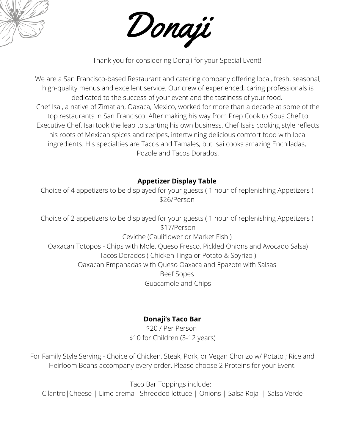



Thank you for considering Donaji for your Special Event!

We are a San Francisco-based Restaurant and catering company offering local, fresh, seasonal, high-quality menus and excellent service. Our crew of experienced, caring professionals is dedicated to the success of your event and the tastiness of your food. Chef Isai, a native of Zimatlan, Oaxaca, Mexico, worked for more than a decade at some of the top restaurants in San Francisco. After making his way from Prep Cook to Sous Chef to Executive Chef, Isai took the leap to starting his own business. Chef Isai's cooking style reflects his roots of Mexican spices and recipes, intertwining delicious comfort food with local ingredients. His specialties are Tacos and Tamales, but Isai cooks amazing Enchiladas, Pozole and Tacos Dorados.

## **Appetizer Display Table**

Choice of 4 appetizers to be displayed for your guests ( 1 hour of replenishing Appetizers ) \$26/Person

Choice of 2 appetizers to be displayed for your guests ( 1 hour of replenishing Appetizers ) \$17/Person Ceviche (Cauliflower or Market Fish ) Oaxacan Totopos - Chips with Mole, Queso Fresco, Pickled Onions and Avocado Salsa) Tacos Dorados ( Chicken Tinga or Potato & Soyrizo ) Oaxacan Empanadas with Queso Oaxaca and Epazote with Salsas Beef Sopes Guacamole and Chips

## **Donaji's Taco Bar**

\$20 / Per Person \$10 for Children (3-12 years)

For Family Style Serving - Choice of Chicken, Steak, Pork, or Vegan Chorizo w/ Potato ; Rice and Heirloom Beans accompany every order. Please choose 2 Proteins for your Event.

Taco Bar Toppings include: Cilantro|Cheese | Lime crema |Shredded lettuce | Onions | Salsa Roja | Salsa Verde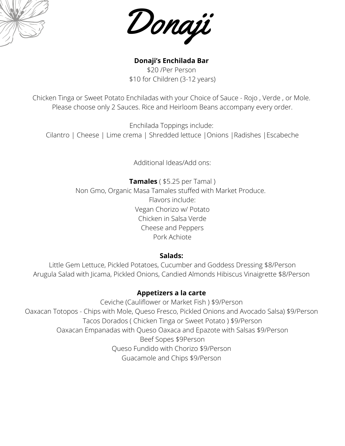



**Donaji's Enchilada Bar** \$20 /Per Person \$10 for Children (3-12 years)

Chicken Tinga or Sweet Potato Enchiladas with your Choice of Sauce - Rojo , Verde , or Mole. Please choose only 2 Sauces. Rice and Heirloom Beans accompany every order.

Enchilada Toppings include: Cilantro | Cheese | Lime crema | Shredded lettuce |Onions |Radishes |Escabeche

Additional Ideas/Add ons:

**Tamales** ( \$5.25 per Tamal ) Non Gmo, Organic Masa Tamales stuffed with Market Produce. Flavors include: Vegan Chorizo w/ Potato Chicken in Salsa Verde Cheese and Peppers Pork Achiote

### **Salads:**

Little Gem Lettuce, Pickled Potatoes, Cucumber and Goddess Dressing \$8/Person Arugula Salad with Jicama, Pickled Onions, Candied Almonds Hibiscus Vinaigrette \$8/Person

### **Appetizers a la carte**

Ceviche (Cauliflower or Market Fish ) \$9/Person Oaxacan Totopos - Chips with Mole, Queso Fresco, Pickled Onions and Avocado Salsa) \$9/Person Tacos Dorados ( Chicken Tinga or Sweet Potato ) \$9/Person Oaxacan Empanadas with Queso Oaxaca and Epazote with Salsas \$9/Person Beef Sopes \$9Person Queso Fundido with Chorizo \$9/Person Guacamole and Chips \$9/Person